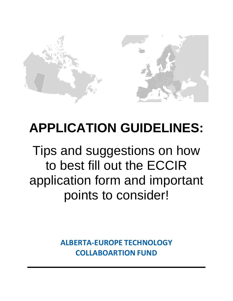

# **APPLICATION GUIDELINES:**

Tips and suggestions on how to best fill out the ECCIR application form and important points to consider!

> **ALBERTA-EUROPE TECHNOLOGY COLLABOARTION FUND**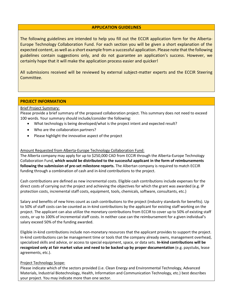#### **APPLICATION GUIDELINES**

The following guidelines are intended to help you fill out the ECCIR application form for the Alberta-Europe Technology Collaboration Fund. For each section you will be given a short explanation of the expected content, as well as a short example from a successful application. Please note that the following guidelines contain suggestions only, and do not guarantee an application's success. However, we certainly hope that it will make the application process easier and quicker!

All submissions received will be reviewed by external subject-matter experts and the ECCIR Steering Committee.

## **PROJECT INFORMATION**

#### Brief Project Summary:

Please provide a brief summary of the proposed collaboration project. This summary does not need to exceed 100 words. Your summary should include/consider the following:

- What technology is being developed/what is the project intent and expected result?
- Who are the collaboration partners?
- Please highlight the innovative aspect of the project

#### Amount Requested from Alberta-Europe Technology Collaboration Fund:

The Alberta company may apply for up to \$250,000 CAD from ECCIR through the Alberta-Europe Technology Collaboration Fund, **which would be distributed to the successful applicant in the form of reimbursements following the submission of pre-set milestone reports.** The Albertan company is required to match ECCIR funding through a combination of cash and in-kind contributions to the project.

Cash contributions are defined as new incremental costs. Eligible cash contributions include expenses for the direct costs of carrying out the project and achieving the objectives for which the grant was awarded (e.g. IP protection costs, incremental staff costs, equipment, tools, chemicals, software, consultants, etc.)

Salary and benefits of new hires count as cash contributions to the project (industry standards for benefits). Up to 50% of staff costs can be counted as in-kind contributions by the applicant for existing staff working on the project. The applicant can also utilize the monetary contributions from ECCIR to cover up to 50% of existing staff costs, or up to 100% of incremental staff costs. In neither case can the reimbursement for a given individual's salary exceed 50% of the funding awarded.

Eligible in-kind contributions include non-monetary resources that the applicant provides to support the project. In-kind contributions can be management time or tools that the company already owns, management overhead, specialized skills and advice, or access to special equipment, space, or data sets. **In-kind contributions will be recognized only at fair market value and need to be backed up by proper documentation** (e.g. paystubs, lease agreements, etc.).

#### Project Technology Scope:

Please indicate which of the sectors provided (i.e. Clean Energy and Environmental Technology, Advanced Materials, Industrial Biotechnology, Health, Information and Communication Technology, etc.) best describes your project. You may indicate more than one sector.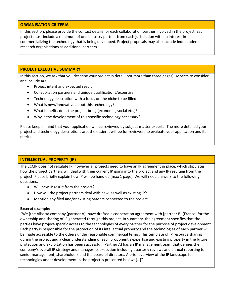## **ORGANISATION CRITERIA**

In this section, please provide the contact details for each collaboration partner involved in the project. Each project must include a minimum of one industry partner from each jurisdiction with an interest in commercializing the technology that is being developed. Project proposals may also include independent research organisations as additional partners.

#### **PROJECT EXECUTIVE SUMMARY**

In this section, we ask that you describe your project in detail (not more than three pages). Aspects to consider and include are:

- Project intent and expected result
- Collaboration partners and unique qualifications/expertise
- Technology description with a focus on the niche to be filled
- What is new/innovative about this technology?
- What benefits does the project bring (economic, social etc.)?
- Why is the development of this specific technology necessary?

Please keep in mind that your application will be reviewed by subject-matter experts! The more detailed your project and technology descriptions are, the easier it will be for reviewers to evaluate your application and its merits.

## **INTELLECTUAL PROPERTY (IP)**

The ECCIR does not regulate IP, however all projects need to have an IP agreement in place, which stipulates how the project partners will deal with their current IP going into the project and any IP resulting from the project. Please briefly explain how IP will be handled (max 1 page). We will need answers to the following questions:

- Will new IP result from the project?
- How will the project partners deal with new, as well as existing IP?
- Mention any filed and/or existing patents connected to the project

#### **Excerpt example:**

"We [the Alberta company (partner A)] have drafted a cooperation agreement with [partner B] (France) for the ownership and sharing of IP generated through this project. In summary, the agreement specifies that the parties have project-specific access to the technologies of every partner for the purpose of project development. Each party is responsible for the protection of its intellectual property and the technologies of each partner will be made accessible to the others under reasonable commercial terms. This template of IP resource sharing during the project and a clear understanding of each proponent's expertise and existing property in the future protection and exploitation has been successful. [Partner A] has an IP management team that defines the company's overall IP strategy and manages its execution including quarterly reviews and annual reporting to senior management, shareholders and the board of directors. A brief overview of the IP landscape for technologies under development in the project is presented below: […]"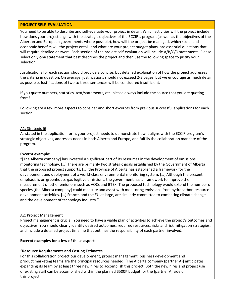## **PROJECT SELF-EVALUATION**

You need to be able to describe and self-evaluate your project in detail. Which activities will the project include, how does your project align with the strategic objectives of the ECCIR's program (as well as the objectives of the Albertan and European governments where possible), how will the project be managed, which social and economic benefits will the project entail, and what are your project budget plans, are essential questions that will require detailed answers. Each section of the project self-evaluation will include A/B/C/D statements. Please select only **one** statement that best describes the project and then use the following space to justify your selection.

Justifications for each section should provide a concise, but detailed explanation of how the project addresses the criteria in question. On average, justifications should not exceed 2-3 pages, but we encourage as much detail as possible. Justifications of two to three sentences will be considered insufficient.

If you quote numbers, statistics, text/statements, etc. please always include the source that you are quoting from!

Following are a few more aspects to consider and short excerpts from previous successful applications for each section:

#### A1: Strategic fit

As stated in the application form, your project needs to demonstrate how it aligns with the ECCIR program's strategic objectives, addresses needs in both Alberta and Europe, and fulfills the collaboration mandate of the program.

#### **Excerpt example:**

"[The Alberta company] has invested a significant part of its resources in the development of emissions monitoring technology. […] There are primarily two strategic goals established by the Government of Alberta that the proposed project supports. […] the Province of Alberta has established a framework for the development and deployment of a world-class environmental monitoring system. […] Although the present emphasis is on greenhouse gas fugitive emissions, the government has a framework to improve the measurement of other emissions such as VOCs and BTEX. The proposed technology would extend the number of species [the Alberta company] could measure and assist with monitoring emissions from hydrocarbon resource development activities. […] France, and the EU at large, are similarly committed to combating climate change and the development of technology industry."

#### A2: Project Management

Project management is crucial. You need to have a viable plan of activities to achieve the project's outcomes and objectives. You should clearly identify desired outcomes, required resources, risks and risk mitigation strategies, and include a detailed project timeline that outlines the responsibility of each partner involved.

#### **Excerpt examples for a few of these aspects:**

## "**Resource Requirements and Costing Estimates**

For this collaboration project our development, project management, business development and product marketing teams are the principal resources needed. [The Alberta company (partner A)] anticipates expanding its team by at least three new hires to accomplish this project. Both the new hires and project use of existing staff can be accomplished within the planned \$500K budget for the [partner A] side of this project.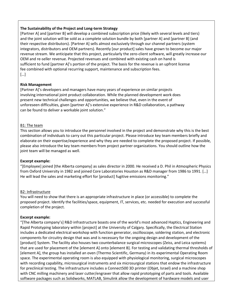## **The Sustainability of the Project and Long-term Strategy**

[Partner A] and [partner B] will develop a combined subscription price (likely with several levels and tiers) and the joint solution will be sold as a complete solution bundle by both [partner A] and [partner B] (and their respective distributors). [Partner A] sells almost exclusively through our channel partners (system integrators, distributors and OEM partners). Recently [our product] sales have grown to become our major revenue stream. We anticipate that this project, particularly the zero-client software, will greatly increase our OEM and re-seller revenue. Projected revenues and combined with existing cash on hand is sufficient to fund [partner A]'s portion of the project. The basis for the revenue is an upfront license fee combined with optional recurring support, maintenance and subscription fees. […]

## **Risk Management**

[Partner A]'s developers and managers have many years of experience on similar projects involving international joint product collaboration. While the planned development work does present new technical challenges and opportunities, we believe that, even in the event of unforeseen difficulties, given [partner A]'s extensive experience in R&D collaboration, a pathway can be found to deliver a workable joint solution."

## B1: The team

This section allows you to introduce the personnel involved in the project and demonstrate why this is the best combination of individuals to carry out this particular project. Please introduce key team members briefly and elaborate on their expertise/experience and why they are needed to complete the proposed project. If possible, please also introduce the key team members from project partner organizations. You should outline how the joint team will be managed as well.

#### **Excerpt example:**

"[Employee] joined [the Alberta company] as sales director in 2000. He received a D. Phil in Atmospheric Physics from Oxford University in 1982 and joined Core Laboratories Houston as R&D manager from 1986 to 1991. […] He will lead the sales and marketing effort for [product] fugitive emissions monitoring."

## B2: Infrastructure

You will need to show that there is an appropriate infrastructure in place (or accessible) to complete the proposed project. Identify the facilities/space, equipment, IT, services, etc. needed for execution and successful completion of the project.

## **Excerpt example:**

"[The Alberta company's] R&D infrastructure boasts one of the world's most advanced Haptics, Engineering and Rapid Prototyping laboratory within [project] at the University of Calgary. Specifically, the Electrical Station includes a dedicated electrical workshop with function generator, oscilloscope, soldering station, and electronic components for circuitry design that was and is necessary for the ongoing design and development of the [product] System. The facility also houses two counterbalance surgical microscopes (Zeiss, and Leica systems) that are used for placement of the [element A] onto [element B]. For testing and validating thermal thresholds of [element A], the group has installed an oven (Thermo Scientific, Germany) in its experimental Operating Room space. The experimental operating room is also equipped with physiological monitoring, surgical microscopes with recording capability, microsurgical instruments and six microsurgical stations that endow the infrastructure for preclinical testing. The infrastructure includes a Connect500 3D printer (Objet, Israel) and a machine shop with CNC milling machinery and laser cutter/engraver that allow rapid prototyping of parts and tools. Available software packages such as Solidworks, MATLAB, Simulink allow the development of hardware models and user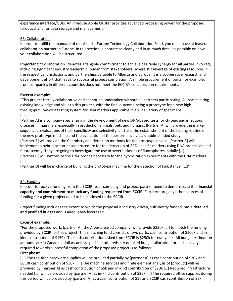experience interface/GUIs. An in-house Apple Cluster provides advanced processing power for the proposed [product] and for data storage and management."

## B3: Collaboration

In order to fulfill the mandate of our Alberta-Europe Technology Collaboration Fund, you must have at least one collaboration partner in Europe. In this section, elaborate as clearly and in as much detail as possible on how your collaboration will be structured.

**Important:** "Collaboration" denotes a tangible commitment to achieve desirable synergy for all parties involved, including significant industry leadership, buy-in from stakeholders, synergistic leverage of existing resources in the respective jurisdictions, and partnerships valuable to Alberta and Europe. It is a cooperative research and development effort that leads to successful project completion. A simple procurement of parts, for example, from companies in different countries does not meet the ECCIR's collaboration requirements.

## **Excerpt example:**

"This project is truly collaborative and cannot be undertaken without all partners participating. All parties bring existing knowledge and skills to this project, with the final outcome being a prototype for a new highthroughput, low-cost testing system for DNA markers applicable in a wide variety of specimens. […]

[Partner A] is a company specializing in the development of new DNA-based tests for chronic and infectious diseases in mammals, especially in production animals, pets and humans. [Partner A] will provide the marker sequences, evaluations of their specificity and selectivity, and also the establishment of the testing routine on the new prototype machine and the evaluation of the performance via a double-blinded study. [Partner B] will provide the Chemistry and detection methods for the prototype device. [Partner B] will implement a hybridization-based procedure for the detection of BRD-specific markers using DNA probes labeled fluorescently. They are going to investigate the use of several classes of fluorophores initially […] [Partner C] will synthesize the DNA probes necessary for the hybridization experiments with the CNA markers. […]

[Partner D] will be in charge of building the prototype machine for the detection of [substance] […]"

# B4: Funding

In order to receive funding from the ECCIR, your company and project partner need to demonstrate the **financial capacity and commitment to match any funding requested from ECCIR**. Furthermore, any other sources of funding for a given project need to be disclosed to the ECCIR.

Project funding includes the extent to which the proposal is industry driven, sufficiently funded, has a **detailed and justified budget** and is adequately leveraged.

# **Excerpt example:**

"For the proposed work, [partner A], the Alberta based company, will provide \$250k […] to match the funding provided by ECCIR for this project. This matching fund consists of two parts: cash contribution of \$100k and inkind contribution of \$150k. The cash contribution asked from ECCIR is \$250k for two years. All budget estimation amounts are in Canadian dollars unless specified otherwise. A detailed budget allocation for each activity required towards successful completion of the proposed project is as follows: **First phase:**

[...] The required hardware supplies will be provided partially by [partner A] as cash contribution of \$70k and ECCIR cash contribution of \$30k. […] The machine services and finite element analysis of [product] will be provided by [partner A] as cash contribution of \$5k and in-kind contribution of \$20k […] Required infrastructure needed […] will be provided by [partner A] as in-kind contribution of \$25k […] The required office supplies during this period will be provided by [partner A] as a cash contribution of \$1k and ECCIR cash contribution of \$2k.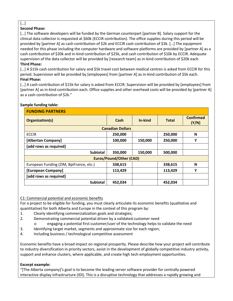#### […] **Second Phase:**

[...] The software developers will be funded by the German counterpart [partner B]. Salary support for the clinical data collector is requested at \$60k (ECCIR contribution). The office supplies during this period will be provided by [partner A] as cash contribution of \$2k and ECCIR cash contribution of \$3k. […] The equipment needed for this phase including the computer hardware and software platforms are provided by [partner A] as a cash contribution of \$20k and in-kind contribution of \$25k, and cash contribution of \$10k by ECCIR. Adequate supervision of the data collector will be provided by [research team] as in-kind contribution of \$20k each. **Third Phase:**

[…] A \$15k cash contribution for salary and \$5k travel cost between medical centres is asked from ECCIR for this period. Supervision will be provided by [employees] from [partner A] as in-kind contribution of \$5k each. **Final Phase:**

[...] A cash contribution of \$15k for salary is asked from ECCIR. Supervision will be provided by [employees] from [partner A] as in-kind contribution each. Office supplies and other overhead costs will be provided by [partner A] as a cash contribution of \$2k."

| <b>FUNDING PARTNERS</b>                 |         |         |              |                           |  |  |  |
|-----------------------------------------|---------|---------|--------------|---------------------------|--|--|--|
| Organization(s)                         | Cash    | In-kind | <b>Total</b> | <b>Confirmed</b><br>(Y/N) |  |  |  |
| <b>Canadian Dollars</b>                 |         |         |              |                           |  |  |  |
| <b>ECCIR</b>                            | 250,000 |         | 250,000      | N                         |  |  |  |
| [Albertan Company]                      | 100,000 | 150,000 | 250,000      | Υ                         |  |  |  |
| [add rows as required]                  |         |         |              |                           |  |  |  |
| <b>Subtotal</b>                         | 350,000 | 150,000 | 500,000      |                           |  |  |  |
| <b>Euros/Pound/Other (CAD)</b>          |         |         |              |                           |  |  |  |
| European Funding (ZIM, BpiFrance, etc.) | 338,615 |         | 338,615      | N                         |  |  |  |
| [European Company]                      | 113,429 |         | 113,429      | Υ                         |  |  |  |
| [add rows as required]                  |         |         |              |                           |  |  |  |
| <b>Subtotal</b>                         | 452,034 |         | 452,034      |                           |  |  |  |

## **Sample funding table:**

C1: Commercial potential and economic benefits

For a project to be eligible for funding, you must clearly articulate its economic benefits (qualitative and quantitative) for both Alberta and Europe in the context of this program by:

- 1. Clearly identifying commercialization goals and strategies;
- 2. Demonstrating commercial potential driven by a validated customer need
	- o engaging a potential first customer/user of the technology helps to validate the need
- 3. Identifying target market, segments and approximate size for each region;
- 4. Including business / technological competitive assessment

Economic benefits have a broad impact on regional prosperity. Please describe how your project will contribute to industry diversification in priority sectors, assist in the development of globally competitive industry activity, support and enhance clusters, where applicable, and create high tech employment opportunities.

# **Excerpt example:**

"[The Alberta company]'s goal is to become the leading server software provider for centrally powered interactive display infrastructure (IDI). This is a disruptive technology that addresses a rapidly growing and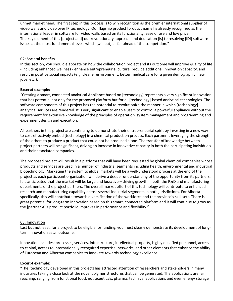unmet market need. The first step in this process is to win recognition as the premier international supplier of video walls and video over IP technology. Our flagship product [product name] is already recognized as the international leader in software for video walls based on its functionality, ease of use and low price. The key element of this [project and] our revolutionary approach and dedication [is] to resolving [IDI] software issues at the most fundamental levels which [will put] us far ahead of the competition."

#### C2: Societal benefits

In this section, you should elaborate on how the collaboration project and its outcome will improve quality of life - including enhanced wellness - enhance entrepreneurial culture, provide additional innovation capacity, and result in positive social impacts (e.g. cleaner environment, better medical care for a given demographic, new jobs, etc.).

## **Excerpt example:**

"Creating a smart, connected analytical Appliance based on [technology] represents a very significant innovation that has potential not only for the proposed platform but for all [technology]-based analytical technologies. The software components of this project has the potential to revolutionize the manner in which [technology] analytical services are rendered. It is very significant to enable users to control a powerful appliance without the requirement for extensive knowledge of the principles of operation, system management and programming and experiment design and execution.

All partners in this project are continuing to demonstrate their entrepreneurial spirit by investing in a new way to cost-effectively embed [technology] in a chemical production process. Each partner is leveraging the strength of the others to produce a product that could not be produced alone. The transfer of knowledge between project partners will be significant, driving an increase in innovative capacity in both the participating individuals and their associated companies.

The proposed project will result in a platform that will have been requested by global chemical companies whose products and services are used in a number of industrial segments including health, environmental and industrial biotechnology. Marketing the system to global markets will be a well-understood process at the end of the project as each participant organization will derive a deeper understanding of the opportunity from its partners. It is anticipated that the market will be large and lucrative – driving growth in both the R&D and manufacturing departments of the project partners. The overall market effort of this technology will contribute to enhanced research and manufacturing capability across several industrial segments in both jurisdictions. For Alberta specifically, this will contribute towards diversification of the workforce and the province's skill sets. There is great potential for long-term innovation based on this smart, connected platform and it will continue to grow as the [partner A]'s product portfolio improves in performance and flexibility."

#### C3: Innovation

Last but not least, for a project to be eligible for funding, you must clearly demonstrate its development of longterm innovation as an outcome.

Innovation includes: processes, services, infrastructure, intellectual property, highly qualified personnel, access to capital, access to internationally recognized expertise, networks, and other elements that enhance the ability of European and Albertan companies to innovate towards technology excellence.

#### **Excerpt example:**

"The [technology developed in this project] has attracted attention of researchers and stakeholders in many industries taking a close look at the novel polymer structures that can be generated. The applications are far reaching, ranging from functional food, nutraceuticals, pharma, technical applications and even energy storage